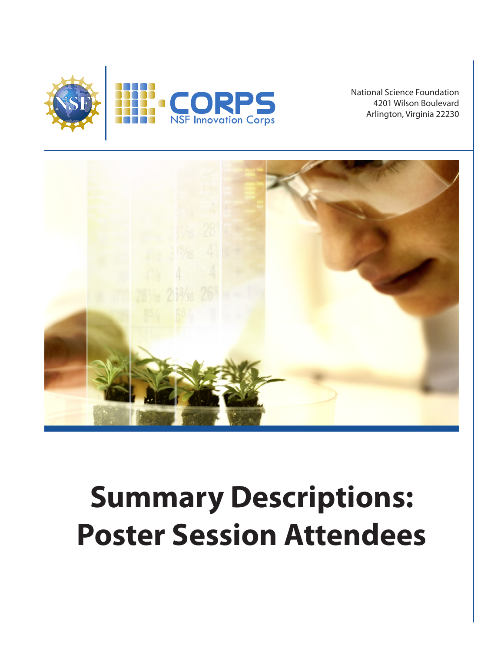

National Science Foundation 4201 Wilson Boulevard Arlington, Virginia 22230



# **Summary Descriptions: Poster Session Attendees**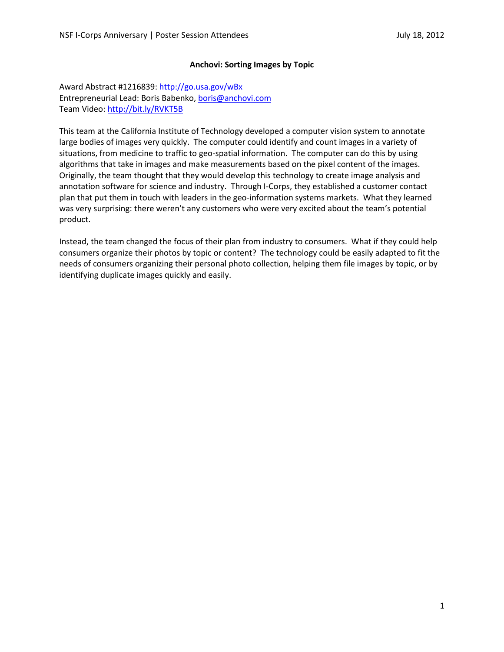## **Anchovi: Sorting Images by Topic**

Award Abstract #1216839[: http://go.usa.gov/wBx](http://go.usa.gov/wBx) Entrepreneurial Lead: Boris Babenko[, boris@anchovi.com](mailto:boris@anchovi.com) Team Video[: http://bit.ly/RVKT5B](http://bit.ly/RVKT5B)

This team at the California Institute of Technology developed a computer vision system to annotate large bodies of images very quickly. The computer could identify and count images in a variety of situations, from medicine to traffic to geo-spatial information. The computer can do this by using algorithms that take in images and make measurements based on the pixel content of the images. Originally, the team thought that they would develop this technology to create image analysis and annotation software for science and industry. Through I-Corps, they established a customer contact plan that put them in touch with leaders in the geo-information systems markets. What they learned was very surprising: there weren't any customers who were very excited about the team's potential product.

Instead, the team changed the focus of their plan from industry to consumers. What if they could help consumers organize their photos by topic or content? The technology could be easily adapted to fit the needs of consumers organizing their personal photo collection, helping them file images by topic, or by identifying duplicate images quickly and easily.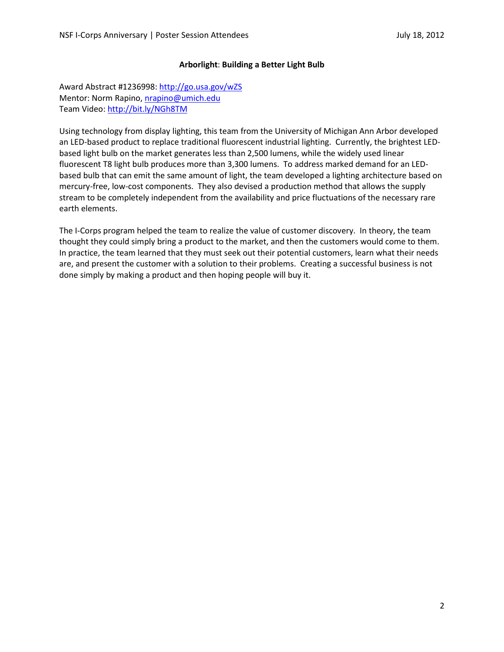## **Arborlight**: **Building a Better Light Bulb**

Award Abstract #1236998[: http://go.usa.gov/wZS](http://go.usa.gov/wZS) Mentor: Norm Rapino, [nrapino@umich.edu](mailto:nrapino@umich.edu) Team Video[: http://bit.ly/NGh8TM](http://bit.ly/NGh8TM)

Using technology from display lighting, this team from the University of Michigan Ann Arbor developed an LED-based product to replace traditional fluorescent industrial lighting. Currently, the brightest LEDbased light bulb on the market generates less than 2,500 lumens, while the widely used linear fluorescent T8 light bulb produces more than 3,300 lumens. To address marked demand for an LEDbased bulb that can emit the same amount of light, the team developed a lighting architecture based on mercury-free, low-cost components. They also devised a production method that allows the supply stream to be completely independent from the availability and price fluctuations of the necessary rare earth elements.

The I-Corps program helped the team to realize the value of customer discovery. In theory, the team thought they could simply bring a product to the market, and then the customers would come to them. In practice, the team learned that they must seek out their potential customers, learn what their needs are, and present the customer with a solution to their problems. Creating a successful business is not done simply by making a product and then hoping people will buy it.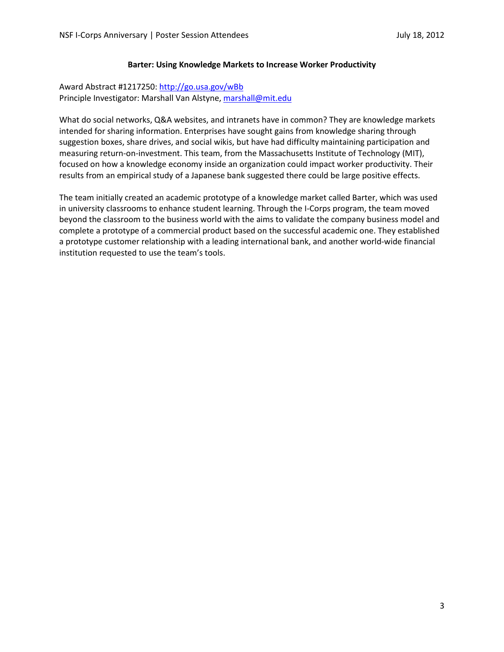## **Barter: Using Knowledge Markets to Increase Worker Productivity**

# Award Abstract #1217250[: http://go.usa.gov/wBb](http://go.usa.gov/wBb) Principle Investigator: Marshall Van Alstyne[, marshall@mit.edu](mailto:marshall@mit.edu)

What do social networks, Q&A websites, and intranets have in common? They are knowledge markets intended for sharing information. Enterprises have sought gains from knowledge sharing through suggestion boxes, share drives, and social wikis, but have had difficulty maintaining participation and measuring return-on-investment. This team, from the Massachusetts Institute of Technology (MIT), focused on how a knowledge economy inside an organization could impact worker productivity. Their results from an empirical study of a Japanese bank suggested there could be large positive effects.

The team initially created an academic prototype of a knowledge market called Barter, which was used in university classrooms to enhance student learning. Through the I-Corps program, the team moved beyond the classroom to the business world with the aims to validate the company business model and complete a prototype of a commercial product based on the successful academic one. They established a prototype customer relationship with a leading international bank, and another world-wide financial institution requested to use the team's tools.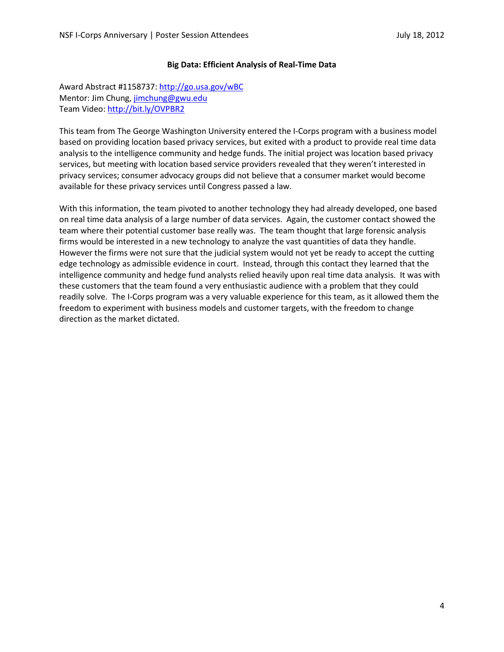## **Big Data: Efficient Analysis of Real-Time Data**

Award Abstract #1158737[: http://go.usa.gov/wBC](http://go.usa.gov/wBC) Mentor: Jim Chung, [jimchung@gwu.edu](mailto:jimchung@gwu.edu) Team Video[: http://bit.ly/OVPBR2](http://bit.ly/OVPBR2)

This team from The George Washington University entered the I-Corps program with a business model based on providing location based privacy services, but exited with a product to provide real time data analysis to the intelligence community and hedge funds. The initial project was location based privacy services, but meeting with location based service providers revealed that they weren't interested in privacy services; consumer advocacy groups did not believe that a consumer market would become available for these privacy services until Congress passed a law.

With this information, the team pivoted to another technology they had already developed, one based on real time data analysis of a large number of data services. Again, the customer contact showed the team where their potential customer base really was. The team thought that large forensic analysis firms would be interested in a new technology to analyze the vast quantities of data they handle. However the firms were not sure that the judicial system would not yet be ready to accept the cutting edge technology as admissible evidence in court. Instead, through this contact they learned that the intelligence community and hedge fund analysts relied heavily upon real time data analysis. It was with these customers that the team found a very enthusiastic audience with a problem that they could readily solve. The I-Corps program was a very valuable experience for this team, as it allowed them the freedom to experiment with business models and customer targets, with the freedom to change direction as the market dictated.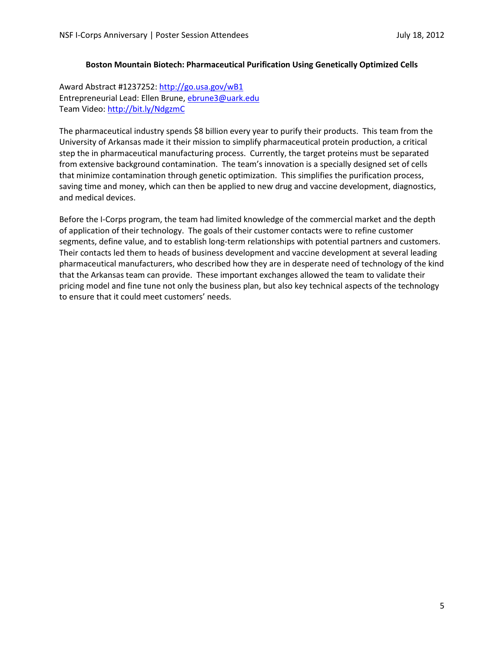## **Boston Mountain Biotech: Pharmaceutical Purification Using Genetically Optimized Cells**

Award Abstract #1237252[: http://go.usa.gov/wB1](http://go.usa.gov/wB1) Entrepreneurial Lead: Ellen Brune[, ebrune3@uark.edu](mailto:ebrune3@uark.edu) Team Video[: http://bit.ly/NdgzmC](http://bit.ly/NdgzmC)

The pharmaceutical industry spends \$8 billion every year to purify their products. This team from the University of Arkansas made it their mission to simplify pharmaceutical protein production, a critical step the in pharmaceutical manufacturing process. Currently, the target proteins must be separated from extensive background contamination. The team's innovation is a specially designed set of cells that minimize contamination through genetic optimization. This simplifies the purification process, saving time and money, which can then be applied to new drug and vaccine development, diagnostics, and medical devices.

Before the I-Corps program, the team had limited knowledge of the commercial market and the depth of application of their technology. The goals of their customer contacts were to refine customer segments, define value, and to establish long-term relationships with potential partners and customers. Their contacts led them to heads of business development and vaccine development at several leading pharmaceutical manufacturers, who described how they are in desperate need of technology of the kind that the Arkansas team can provide. These important exchanges allowed the team to validate their pricing model and fine tune not only the business plan, but also key technical aspects of the technology to ensure that it could meet customers' needs.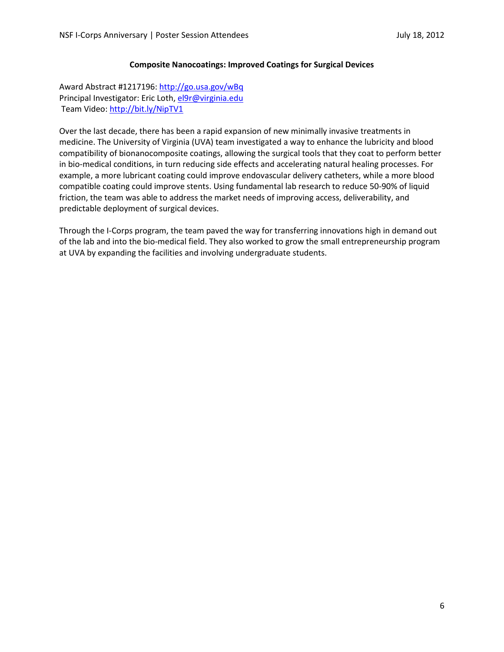### **Composite Nanocoatings: Improved Coatings for Surgical Devices**

Award Abstract #1217196[: http://go.usa.gov/wBq](http://go.usa.gov/wBq) Principal Investigator: Eric Loth[, el9r@virginia.edu](mailto:el9r@virginia.edu) Team Video:<http://bit.ly/NipTV1>

Over the last decade, there has been a rapid expansion of new minimally invasive treatments in medicine. The University of Virginia (UVA) team investigated a way to enhance the lubricity and blood compatibility of bionanocomposite coatings, allowing the surgical tools that they coat to perform better in bio-medical conditions, in turn reducing side effects and accelerating natural healing processes. For example, a more lubricant coating could improve endovascular delivery catheters, while a more blood compatible coating could improve stents. Using fundamental lab research to reduce 50-90% of liquid friction, the team was able to address the market needs of improving access, deliverability, and predictable deployment of surgical devices.

Through the I-Corps program, the team paved the way for transferring innovations high in demand out of the lab and into the bio-medical field. They also worked to grow the small entrepreneurship program at UVA by expanding the facilities and involving undergraduate students.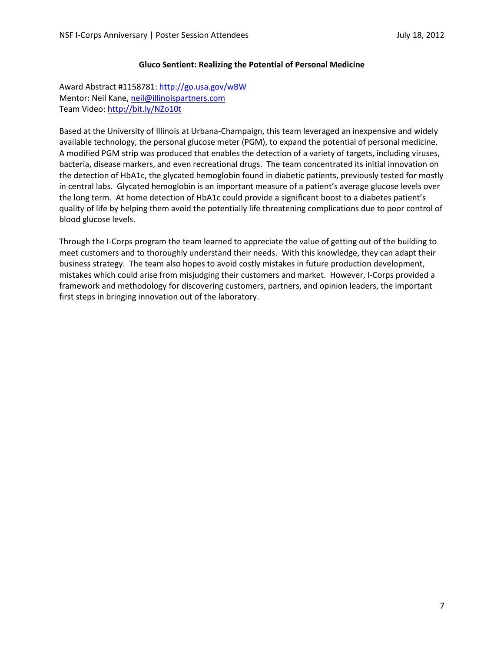### **Gluco Sentient: Realizing the Potential of Personal Medicine**

Award Abstract #1158781[: http://go.usa.gov/wBW](http://go.usa.gov/wBW) Mentor: Neil Kane, [neil@illinoispartners.com](mailto:neil@illinoispartners.com) Team Video[: http://bit.ly/NZo10t](http://bit.ly/NZo10t)

Based at the University of Illinois at Urbana-Champaign, this team leveraged an inexpensive and widely available technology, the personal glucose meter (PGM), to expand the potential of personal medicine. A modified PGM strip was produced that enables the detection of a variety of targets, including viruses, bacteria, disease markers, and even recreational drugs. The team concentrated its initial innovation on the detection of HbA1c, the glycated hemoglobin found in diabetic patients, previously tested for mostly in central labs. Glycated hemoglobin is an important measure of a patient's average glucose levels over the long term. At home detection of HbA1c could provide a significant boost to a diabetes patient's quality of life by helping them avoid the potentially life threatening complications due to poor control of blood glucose levels.

Through the I-Corps program the team learned to appreciate the value of getting out of the building to meet customers and to thoroughly understand their needs. With this knowledge, they can adapt their business strategy. The team also hopes to avoid costly mistakes in future production development, mistakes which could arise from misjudging their customers and market. However, I-Corps provided a framework and methodology for discovering customers, partners, and opinion leaders, the important first steps in bringing innovation out of the laboratory.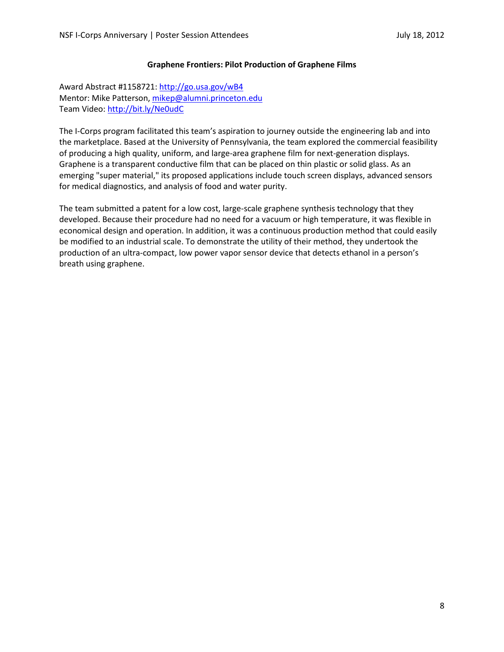## **Graphene Frontiers: Pilot Production of Graphene Films**

Award Abstract #1158721[: http://go.usa.gov/wB4](http://go.usa.gov/wB4) Mentor: Mike Patterson, [mikep@alumni.princeton.edu](mailto:mikep@alumni.princeton.edu) Team Video: <http://bit.ly/Ne0udC>

The I-Corps program facilitated this team's aspiration to journey outside the engineering lab and into the marketplace. Based at the University of Pennsylvania, the team explored the commercial feasibility of producing a high quality, uniform, and large-area graphene film for next-generation displays. Graphene is a transparent conductive film that can be placed on thin plastic or solid glass. As an emerging "super material," its proposed applications include touch screen displays, advanced sensors for medical diagnostics, and analysis of food and water purity.

The team submitted a patent for a low cost, large-scale graphene synthesis technology that they developed. Because their procedure had no need for a vacuum or high temperature, it was flexible in economical design and operation. In addition, it was a continuous production method that could easily be modified to an industrial scale. To demonstrate the utility of their method, they undertook the production of an ultra-compact, low power vapor sensor device that detects ethanol in a person's breath using graphene.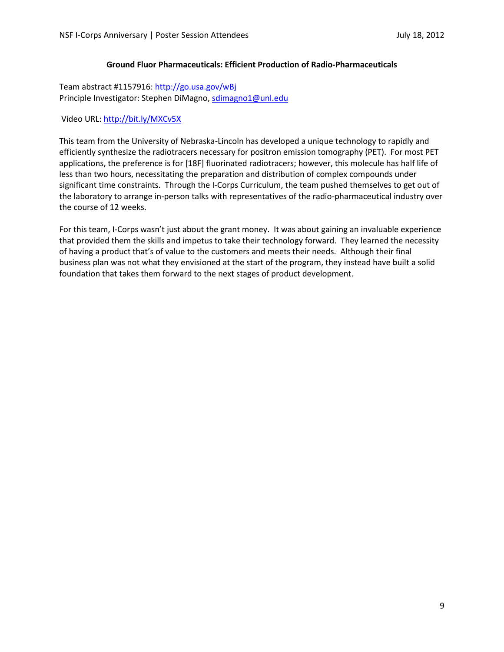## **Ground Fluor Pharmaceuticals: Efficient Production of Radio-Pharmaceuticals**

Team abstract #1157916: <http://go.usa.gov/wBj> Principle Investigator: Stephen DiMagno[, sdimagno1@unl.edu](mailto:sdimagno1@unl.edu)

Video URL:<http://bit.ly/MXCv5X>

This team from the University of Nebraska-Lincoln has developed a unique technology to rapidly and efficiently synthesize the radiotracers necessary for positron emission tomography (PET). For most PET applications, the preference is for [18F] fluorinated radiotracers; however, this molecule has half life of less than two hours, necessitating the preparation and distribution of complex compounds under significant time constraints. Through the I-Corps Curriculum, the team pushed themselves to get out of the laboratory to arrange in-person talks with representatives of the radio-pharmaceutical industry over the course of 12 weeks.

For this team, I-Corps wasn't just about the grant money. It was about gaining an invaluable experience that provided them the skills and impetus to take their technology forward. They learned the necessity of having a product that's of value to the customers and meets their needs. Although their final business plan was not what they envisioned at the start of the program, they instead have built a solid foundation that takes them forward to the next stages of product development.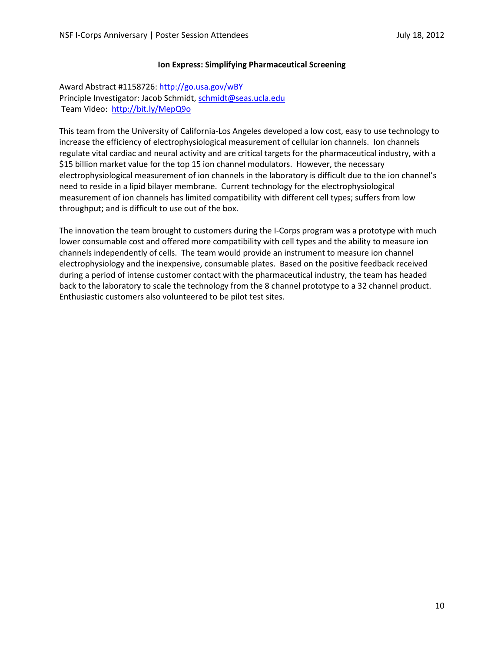## **Ion Express: Simplifying Pharmaceutical Screening**

Award Abstract #1158726[: http://go.usa.gov/wBY](http://go.usa.gov/wBY) Principle Investigator: Jacob Schmidt, [schmidt@seas.ucla.edu](mailto:schmidt@seas.ucla.edu) Team Video: <http://bit.ly/MepQ9o>

This team from the University of California-Los Angeles developed a low cost, easy to use technology to increase the efficiency of electrophysiological measurement of cellular ion channels. Ion channels regulate vital cardiac and neural activity and are critical targets for the pharmaceutical industry, with a \$15 billion market value for the top 15 ion channel modulators. However, the necessary electrophysiological measurement of ion channels in the laboratory is difficult due to the ion channel's need to reside in a lipid bilayer membrane. Current technology for the electrophysiological measurement of ion channels has limited compatibility with different cell types; suffers from low throughput; and is difficult to use out of the box.

The innovation the team brought to customers during the I-Corps program was a prototype with much lower consumable cost and offered more compatibility with cell types and the ability to measure ion channels independently of cells. The team would provide an instrument to measure ion channel electrophysiology and the inexpensive, consumable plates. Based on the positive feedback received during a period of intense customer contact with the pharmaceutical industry, the team has headed back to the laboratory to scale the technology from the 8 channel prototype to a 32 channel product. Enthusiastic customers also volunteered to be pilot test sites.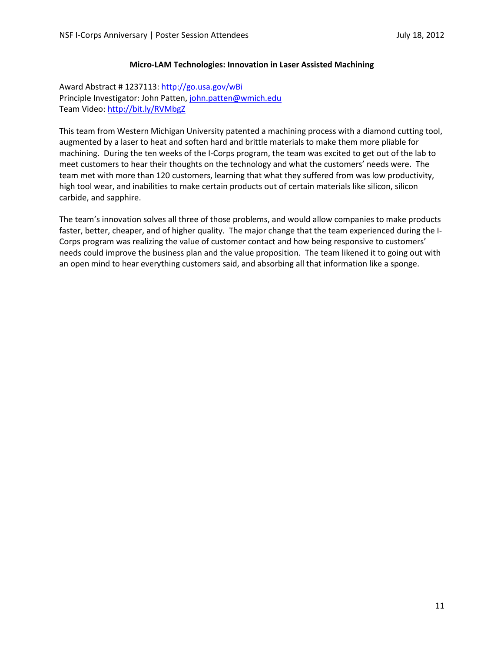## **Micro-LAM Technologies: Innovation in Laser Assisted Machining**

Award Abstract # 1237113:<http://go.usa.gov/wBi> Principle Investigator: John Patten, [john.patten@wmich.edu](mailto:john.patten@wmich.edu) Team Video[: http://bit.ly/RVMbgZ](http://bit.ly/RVMbgZ)

This team from Western Michigan University patented a machining process with a diamond cutting tool, augmented by a laser to heat and soften hard and brittle materials to make them more pliable for machining. During the ten weeks of the I-Corps program, the team was excited to get out of the lab to meet customers to hear their thoughts on the technology and what the customers' needs were. The team met with more than 120 customers, learning that what they suffered from was low productivity, high tool wear, and inabilities to make certain products out of certain materials like silicon, silicon carbide, and sapphire.

The team's innovation solves all three of those problems, and would allow companies to make products faster, better, cheaper, and of higher quality. The major change that the team experienced during the I-Corps program was realizing the value of customer contact and how being responsive to customers' needs could improve the business plan and the value proposition. The team likened it to going out with an open mind to hear everything customers said, and absorbing all that information like a sponge.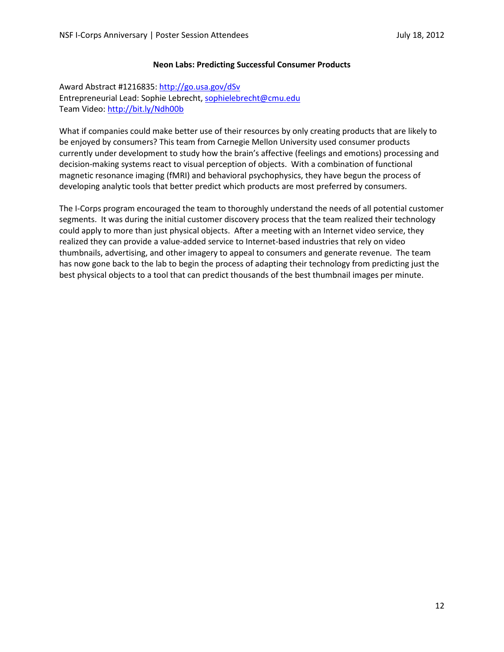### **Neon Labs: Predicting Successful Consumer Products**

Award Abstract #1216835[: http://go.usa.gov/dSv](http://go.usa.gov/dSv) Entrepreneurial Lead: Sophie Lebrecht, [sophielebrecht@cmu.edu](mailto:sophielebrecht@cmu.edu) Team Video[: http://bit.ly/Ndh00b](http://bit.ly/Ndh00b)

What if companies could make better use of their resources by only creating products that are likely to be enjoyed by consumers? This team from Carnegie Mellon University used consumer products currently under development to study how the brain's affective (feelings and emotions) processing and decision-making systems react to visual perception of objects. With a combination of functional magnetic resonance imaging (fMRI) and behavioral psychophysics, they have begun the process of developing analytic tools that better predict which products are most preferred by consumers.

The I-Corps program encouraged the team to thoroughly understand the needs of all potential customer segments. It was during the initial customer discovery process that the team realized their technology could apply to more than just physical objects. After a meeting with an Internet video service, they realized they can provide a value-added service to Internet-based industries that rely on video thumbnails, advertising, and other imagery to appeal to consumers and generate revenue. The team has now gone back to the lab to begin the process of adapting their technology from predicting just the best physical objects to a tool that can predict thousands of the best thumbnail images per minute.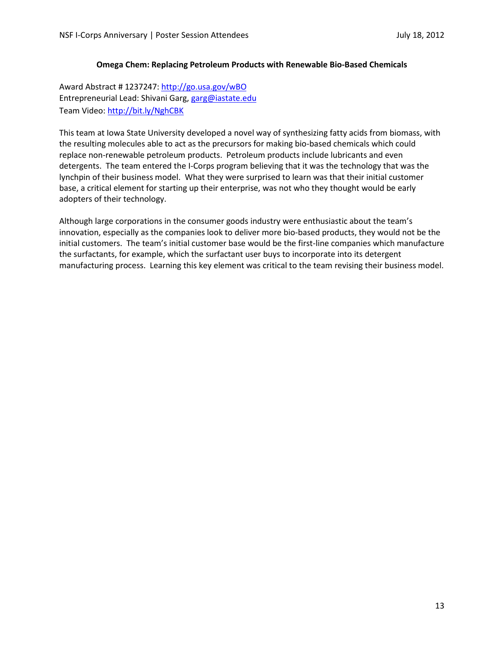## **Omega Chem: Replacing Petroleum Products with Renewable Bio-Based Chemicals**

Award Abstract # 1237247:<http://go.usa.gov/wBO> Entrepreneurial Lead: Shivani Garg, [garg@iastate.edu](mailto:garg@iastate.edu) Team Video[: http://bit.ly/NghCBK](http://bit.ly/NghCBK)

This team at Iowa State University developed a novel way of synthesizing fatty acids from biomass, with the resulting molecules able to act as the precursors for making bio-based chemicals which could replace non-renewable petroleum products. Petroleum products include lubricants and even detergents. The team entered the I-Corps program believing that it was the technology that was the lynchpin of their business model. What they were surprised to learn was that their initial customer base, a critical element for starting up their enterprise, was not who they thought would be early adopters of their technology.

Although large corporations in the consumer goods industry were enthusiastic about the team's innovation, especially as the companies look to deliver more bio-based products, they would not be the initial customers. The team's initial customer base would be the first-line companies which manufacture the surfactants, for example, which the surfactant user buys to incorporate into its detergent manufacturing process. Learning this key element was critical to the team revising their business model.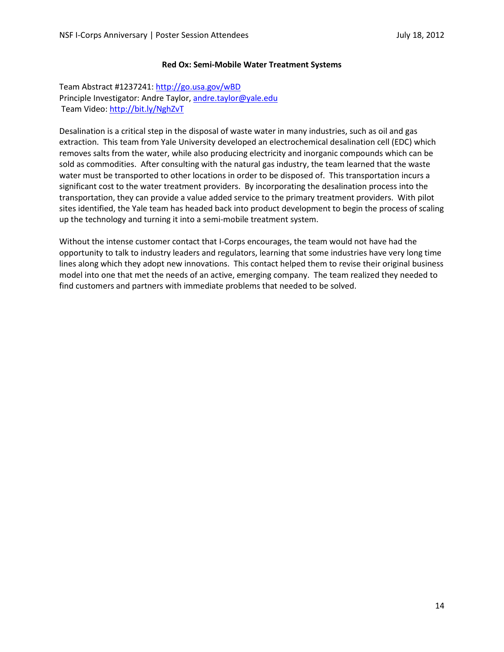## **Red Ox: Semi-Mobile Water Treatment Systems**

Team Abstract #1237241:<http://go.usa.gov/wBD> Principle Investigator: Andre Taylor[, andre.taylor@yale.edu](mailto:andre.taylor@yale.edu) Team Video:<http://bit.ly/NghZvT>

Desalination is a critical step in the disposal of waste water in many industries, such as oil and gas extraction. This team from Yale University developed an electrochemical desalination cell (EDC) which removes salts from the water, while also producing electricity and inorganic compounds which can be sold as commodities. After consulting with the natural gas industry, the team learned that the waste water must be transported to other locations in order to be disposed of. This transportation incurs a significant cost to the water treatment providers. By incorporating the desalination process into the transportation, they can provide a value added service to the primary treatment providers. With pilot sites identified, the Yale team has headed back into product development to begin the process of scaling up the technology and turning it into a semi-mobile treatment system.

Without the intense customer contact that I-Corps encourages, the team would not have had the opportunity to talk to industry leaders and regulators, learning that some industries have very long time lines along which they adopt new innovations. This contact helped them to revise their original business model into one that met the needs of an active, emerging company. The team realized they needed to find customers and partners with immediate problems that needed to be solved.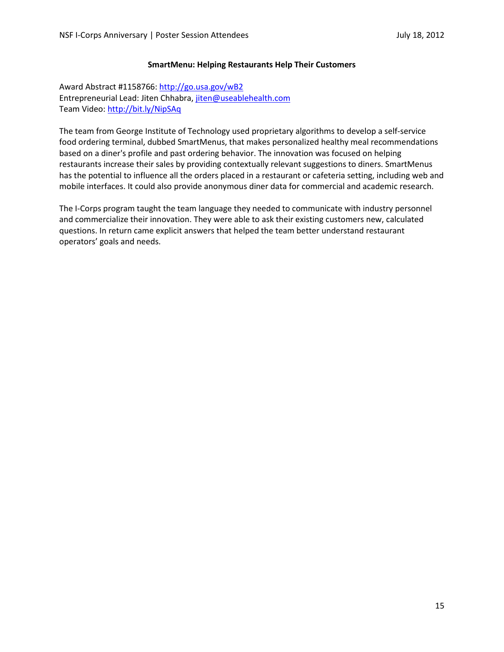### **SmartMenu: Helping Restaurants Help Their Customers**

Award Abstract #1158766[: http://go.usa.gov/wB2](http://go.usa.gov/wB2) Entrepreneurial Lead: Jiten Chhabra[, jiten@useablehealth.com](mailto:jiten@useablehealth.com) Team Video[: http://bit.ly/NipSAq](http://bit.ly/NipSAq)

The team from George Institute of Technology used proprietary algorithms to develop a self-service food ordering terminal, dubbed SmartMenus, that makes personalized healthy meal recommendations based on a diner's profile and past ordering behavior. The innovation was focused on helping restaurants increase their sales by providing contextually relevant suggestions to diners. SmartMenus has the potential to influence all the orders placed in a restaurant or cafeteria setting, including web and mobile interfaces. It could also provide anonymous diner data for commercial and academic research.

The I-Corps program taught the team language they needed to communicate with industry personnel and commercialize their innovation. They were able to ask their existing customers new, calculated questions. In return came explicit answers that helped the team better understand restaurant operators' goals and needs.